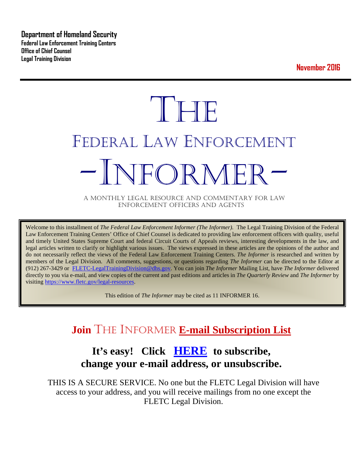**Department of Homeland Security Federal Law Enforcement Training Centers Office of Chief Counsel Legal Training Division** 

**November 2016**

# **THE** FEDERAL LAW ENFORCEMENT -INFORMER- A MONTHLY LEGAL RESOURCE AND COMMENTARY FOR LAW

ENFORCEMENT OFFICERS AND AGENTS

Welcome to this installment of *The Federal Law Enforcement Informer (The Informer).* The Legal Training Division of the Federal Law Enforcement Training Centers' Office of Chief Counsel is dedicated to providing law enforcement officers with quality, useful and timely United States Supreme Court and federal Circuit Courts of Appeals reviews, interesting developments in the law, and legal articles written to clarify or highlight various issues. The views expressed in these articles are the opinions of the author and do not necessarily reflect the views of the Federal Law Enforcement Training Centers. *The Informer* is researched and written by members of the Legal Division. All comments, suggestions, or questions regarding *The Informer* can be directed to the Editor at (912) 267-3429 or [FLETC-LegalTrainingDivision@dhs.gov.](mailto:FLETC-LegalTrainingDivision@dhs.gov) You can join *The Informer* Mailing List, have *The Informer* delivered directly to you via e-mail, and view copies of the current and past editions and articles in *The Quarterly Review* and *The Informer* by visiting [https://www.fletc.gov/legal-resources.](https://www.fletc.gov/legal-resources) 

This edition of *The Informer* may be cited as 11 INFORMER 16.

# **Join** THE INFORMER **E-mail Subscription List**

# **It's easy! Click [HERE](http://peach.ease.lsoft.com/scripts/wa.exe?SUBED1=fletclgd&A=1) to subscribe, change your e-mail address, or unsubscribe.**

THIS IS A SECURE SERVICE. No one but the FLETC Legal Division will have access to your address, and you will receive mailings from no one except the FLETC Legal Division.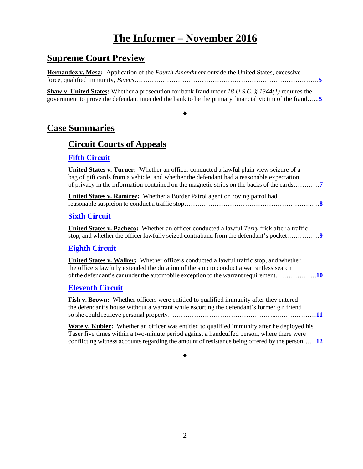# **The Informer – November 2016**

# **Supreme Court Preview**

**Hernandez v. Mesa:** Application of the *Fourth Amendment* outside the United States, excessive force, qualified immunity, *Bivens*………………………………………………………………………….**[5](#page-4-0)**

**Shaw v. United States:** Whether a prosecution for bank fraud under *18 U.S.C. § 1344(1)* requires the government to prove the defendant intended the bank to be the primary financial victim of the fraud…...**[5](#page-4-1)**

#### ♦

# **Case Summaries**

# **[Circuit Courts of Appeals](#page-6-0)**

# **[Fifth Circuit](#page-6-1)**

| <b>United States v. Turner:</b> Whether an officer conducted a lawful plain view seizure of a<br>bag of gift cards from a vehicle, and whether the defendant had a reasonable expectation<br>of privacy in the information contained on the magnetic strips on the backs of the cards |
|---------------------------------------------------------------------------------------------------------------------------------------------------------------------------------------------------------------------------------------------------------------------------------------|
| <b>United States v. Ramirez:</b> Whether a Border Patrol agent on roving patrol had                                                                                                                                                                                                   |
| <b>Sixth Circuit</b>                                                                                                                                                                                                                                                                  |
| <b>United States v. Pacheco:</b> Whether an officer conducted a lawful <i>Terry</i> frisk after a traffic<br>stop, and whether the officer lawfully seized contraband from the defendant's pocket                                                                                     |
| <b>Eighth Circuit</b>                                                                                                                                                                                                                                                                 |
| <b>United States v. Walker:</b> Whether officers conducted a lawful traffic stop, and whether<br>the officers lawfully extended the duration of the stop to conduct a warrantless search                                                                                              |
| <b>Eleventh Circuit</b>                                                                                                                                                                                                                                                               |
| <b>Fish v. Brown:</b> Whether officers were entitled to qualified immunity after they entered<br>the defendant's house without a warrant while escorting the defendant's former girlfriend                                                                                            |
| <b>Wate v. Kubler:</b> Whether an officer was entitled to qualified immunity after he deployed his<br>Taser five times within a two-minute period against a handcuffed person, where there were                                                                                       |

♦

conflicting witness accounts regarding the amount of resistance being offered by the person……**[12](#page-11-0)**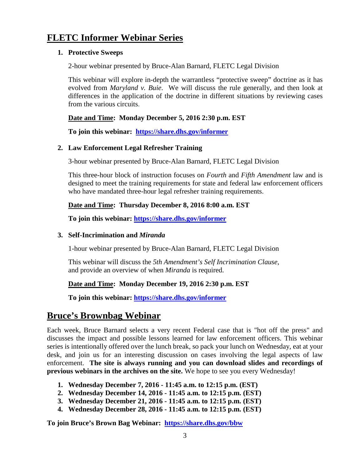# **FLETC Informer Webinar Series**

#### **1. Protective Sweeps**

2-hour webinar presented by Bruce-Alan Barnard, FLETC Legal Division

This webinar will explore in-depth the warrantless "protective sweep" doctrine as it has evolved from *Maryland v. Buie*. We will discuss the rule generally, and then look at differences in the application of the doctrine in different situations by reviewing cases from the various circuits.

## **Date and Time: Monday December 5, 2016 2:30 p.m. EST**

**To join this webinar: <https://share.dhs.gov/informer>**

## **2. Law Enforcement Legal Refresher Training**

3-hour webinar presented by Bruce-Alan Barnard, FLETC Legal Division

This three-hour block of instruction focuses on *Fourth* and *Fifth Amendment* law and is designed to meet the training requirements for state and federal law enforcement officers who have mandated three-hour legal refresher training requirements.

## **Date and Time: Thursday December 8, 2016 8:00 a.m. EST**

**To join this webinar:<https://share.dhs.gov/informer>**

#### **3. Self-Incrimination and** *Miranda*

1-hour webinar presented by Bruce-Alan Barnard, FLETC Legal Division

This webinar will discuss the *5th Amendment's Self Incrimination Clause*, and provide an overview of when *Miranda* is required.

## **Date and Time: Monday December 19, 2016 2:30 p.m. EST**

**To join this webinar:<https://share.dhs.gov/informer>**

# **Bruce's Brownbag Webinar**

Each week, Bruce Barnard selects a very recent Federal case that is "hot off the press" and discusses the impact and possible lessons learned for law enforcement officers. This webinar series is intentionally offered over the lunch break, so pack your lunch on Wednesday, eat at your desk, and join us for an interesting discussion on cases involving the legal aspects of law enforcement. **The site is always running and you can download slides and recordings of previous webinars in the archives on the site.** We hope to see you every Wednesday!

- **1. Wednesday December 7, 2016 - 11:45 a.m. to 12:15 p.m. (EST)**
- **2. Wednesday December 14, 2016 - 11:45 a.m. to 12:15 p.m. (EST)**
- **3. Wednesday December 21, 2016 - 11:45 a.m. to 12:15 p.m. (EST)**
- **4. Wednesday December 28, 2016 - 11:45 a.m. to 12:15 p.m. (EST)**

**To join Bruce's Brown Bag Webinar: <https://share.dhs.gov/bbw>**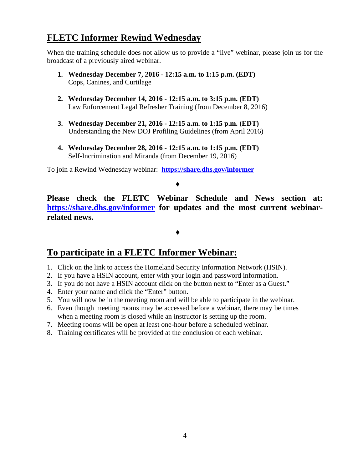# **FLETC Informer Rewind Wednesday**

When the training schedule does not allow us to provide a "live" webinar, please join us for the broadcast of a previously aired webinar.

- **1. Wednesday December 7, 2016 - 12:15 a.m. to 1:15 p.m. (EDT)** Cops, Canines, and Curtilage
- **2. Wednesday December 14, 2016 - 12:15 a.m. to 3:15 p.m. (EDT)** Law Enforcement Legal Refresher Training (from December 8, 2016)
- **3. Wednesday December 21, 2016 - 12:15 a.m. to 1:15 p.m. (EDT)** Understanding the New DOJ Profiling Guidelines (from April 2016)
- **4. Wednesday December 28, 2016 - 12:15 a.m. to 1:15 p.m. (EDT)** Self-Incrimination and Miranda (from December 19, 2016)

To join a Rewind Wednesday webinar: **<https://share.dhs.gov/informer>**

#### ♦

**Please check the FLETC Webinar Schedule and News section at: <https://share.dhs.gov/informer> for updates and the most current webinarrelated news.** 

# ♦

# **To participate in a FLETC Informer Webinar:**

- 1. Click on the link to access the Homeland Security Information Network (HSIN).
- 2. If you have a HSIN account, enter with your login and password information.
- 3. If you do not have a HSIN account click on the button next to "Enter as a Guest."
- 4. Enter your name and click the "Enter" button.
- 5. You will now be in the meeting room and will be able to participate in the webinar.
- 6. Even though meeting rooms may be accessed before a webinar, there may be times when a meeting room is closed while an instructor is setting up the room.
- 7. Meeting rooms will be open at least one-hour before a scheduled webinar.
- 8. Training certificates will be provided at the conclusion of each webinar.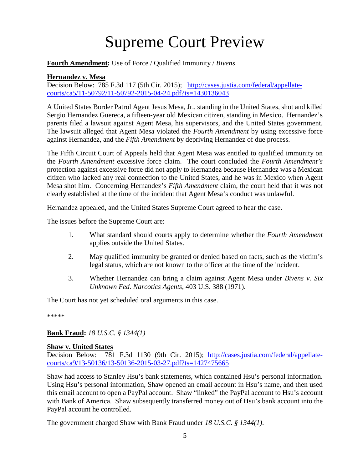# Supreme Court Preview

#### **Fourth Amendment:** Use of Force / Qualified Immunity / *Bivens*

#### <span id="page-4-0"></span>**Hernandez v. Mesa**

Decision Below: 785 F.3d 117 (5th Cir. 2015); [http://cases.justia.com/federal/appellate](http://cases.justia.com/federal/appellate-courts/ca5/11-50792/11-50792-2015-04-24.pdf?ts=1430136043)[courts/ca5/11-50792/11-50792-2015-04-24.pdf?ts=1430136043](http://cases.justia.com/federal/appellate-courts/ca5/11-50792/11-50792-2015-04-24.pdf?ts=1430136043) 

A United States Border Patrol Agent Jesus Mesa, Jr., standing in the United States, shot and killed Sergio Hernandez Guereca, a fifteen-year old Mexican citizen, standing in Mexico. Hernandez's parents filed a lawsuit against Agent Mesa, his supervisors, and the United States government. The lawsuit alleged that Agent Mesa violated the *Fourth Amendment* by using excessive force against Hernandez, and the *Fifth Amendment* by depriving Hernandez of due process.

The Fifth Circuit Court of Appeals held that Agent Mesa was entitled to qualified immunity on the *Fourth Amendment* excessive force claim. The court concluded the *Fourth Amendment's* protection against excessive force did not apply to Hernandez because Hernandez was a Mexican citizen who lacked any real connection to the United States, and he was in Mexico when Agent Mesa shot him. Concerning Hernandez's *Fifth Amendment* claim, the court held that it was not clearly established at the time of the incident that Agent Mesa's conduct was unlawful.

Hernandez appealed, and the United States Supreme Court agreed to hear the case.

The issues before the Supreme Court are:

- 1. What standard should courts apply to determine whether the *Fourth Amendment* applies outside the United States.
- 2. May qualified immunity be granted or denied based on facts, such as the victim's legal status, which are not known to the officer at the time of the incident.
- 3. Whether Hernandez can bring a claim against Agent Mesa under *Bivens v. Six Unknown Fed. Narcotics Agents*, 403 U.S. 388 (1971).

The Court has not yet scheduled oral arguments in this case.

\*\*\*\*\*

#### **Bank Fraud:** *18 U.S.C. § 1344(1)*

#### <span id="page-4-1"></span>**Shaw v. United States**

Decision Below: 781 F.3d 1130 (9th Cir. 2015); [http://cases.justia.com/federal/appellate](http://cases.justia.com/federal/appellate-courts/ca9/13-50136/13-50136-2015-03-27.pdf?ts=1427475665)[courts/ca9/13-50136/13-50136-2015-03-27.pdf?ts=1427475665](http://cases.justia.com/federal/appellate-courts/ca9/13-50136/13-50136-2015-03-27.pdf?ts=1427475665)

Shaw had access to Stanley Hsu's bank statements, which contained Hsu's personal information. Using Hsu's personal information, Shaw opened an email account in Hsu's name, and then used this email account to open a PayPal account. Shaw "linked" the PayPal account to Hsu's account with Bank of America. Shaw subsequently transferred money out of Hsu's bank account into the PayPal account he controlled.

The government charged Shaw with Bank Fraud under *18 U.S.C. § 1344(1)*.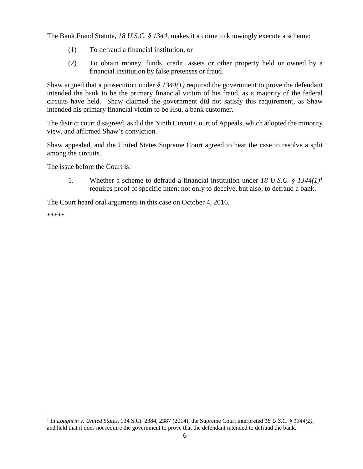The Bank Fraud Statute, *18 U.S.C. § 1344*, makes it a crime to knowingly execute a scheme:

- (1) To defraud a financial institution, or
- (2) To obtain money, funds, credit, assets or other property held or owned by a financial institution by false pretenses or fraud.

Shaw argued that a prosecution under  $\frac{g}{4}$  1344(1) required the government to prove the defendant intended the bank to be the primary financial victim of his fraud, as a majority of the federal circuits have held. Shaw claimed the government did not satisfy this requirement, as Shaw intended his primary financial victim to be Hsu, a bank customer.

The district court disagreed, as did the Ninth Circuit Court of Appeals, which adopted the minority view, and affirmed Shaw's conviction.

Shaw appealed, and the United States Supreme Court agreed to hear the case to resolve a split among the circuits.

The issue before the Court is:

1. Whether a scheme to defraud a financial institution under *18 U.S.C. § 1344(1)[1](#page-5-0)* requires proof of specific intent not only to deceive, but also, to defraud a bank.

The Court heard oral arguments in this case on October 4, 2016.

\*\*\*\*\*

<span id="page-5-0"></span> <sup>1</sup> In *Loughrin v. United States*, 134 S.Ct. 2384, 2387 (2014), the Supreme Court interpreted *18 U.S.C. § 1344(2)*, and held that it does not require the government to prove that the defendant intended to defraud the bank.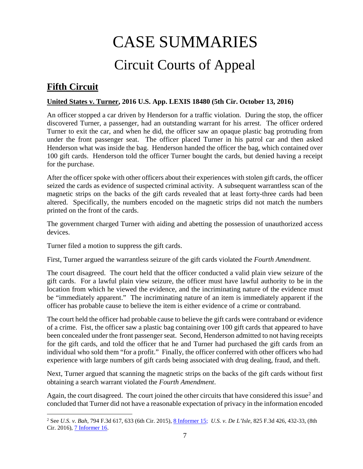# CASE SUMMARIES Circuit Courts of Appeal

# <span id="page-6-1"></span><span id="page-6-0"></span>**Fifth Circuit**

## <span id="page-6-2"></span>**United States v. Turner, 2016 U.S. App. LEXIS 18480 (5th Cir. October 13, 2016)**

An officer stopped a car driven by Henderson for a traffic violation. During the stop, the officer discovered Turner, a passenger, had an outstanding warrant for his arrest. The officer ordered Turner to exit the car, and when he did, the officer saw an opaque plastic bag protruding from under the front passenger seat. The officer placed Turner in his patrol car and then asked Henderson what was inside the bag. Henderson handed the officer the bag, which contained over 100 gift cards. Henderson told the officer Turner bought the cards, but denied having a receipt for the purchase.

After the officer spoke with other officers about their experiences with stolen gift cards, the officer seized the cards as evidence of suspected criminal activity. A subsequent warrantless scan of the magnetic strips on the backs of the gift cards revealed that at least forty-three cards had been altered. Specifically, the numbers encoded on the magnetic strips did not match the numbers printed on the front of the cards.

The government charged Turner with aiding and abetting the possession of unauthorized access devices.

Turner filed a motion to suppress the gift cards.

First, Turner argued the warrantless seizure of the gift cards violated the *Fourth Amendment*.

The court disagreed. The court held that the officer conducted a valid plain view seizure of the gift cards. For a lawful plain view seizure, the officer must have lawful authority to be in the location from which he viewed the evidence, and the incriminating nature of the evidence must be "immediately apparent." The incriminating nature of an item is immediately apparent if the officer has probable cause to believe the item is either evidence of a crime or contraband.

The court held the officer had probable cause to believe the gift cards were contraband or evidence of a crime. Fist, the officer saw a plastic bag containing over 100 gift cards that appeared to have been concealed under the front passenger seat. Second, Henderson admitted to not having receipts for the gift cards, and told the officer that he and Turner had purchased the gift cards from an individual who sold them "for a profit." Finally, the officer conferred with other officers who had experience with large numbers of gift cards being associated with drug dealing, fraud, and theft.

Next, Turner argued that scanning the magnetic strips on the backs of the gift cards without first obtaining a search warrant violated the *Fourth Amendment*.

Again, the court disagreed. The court joined the other circuits that have considered this issue<sup>[2](#page-6-3)</sup> and concluded that Turner did not have a reasonable expectation of privacy in the information encoded

<span id="page-6-3"></span> <sup>2</sup> See *U.S. v. Bah*, 794 F.3d 617, 633 (6th Cir. 2015)[, 8 Informer 15;](https://www.fletc.gov/sites/default/files/8Informer15_0.pdf) *U.S. v. De L'Isle*, 825 F.3d 426, 432-33, (8th Cir. 2016), [7 Informer 16.](https://www.fletc.gov/sites/default/files/7Informer16.pdf)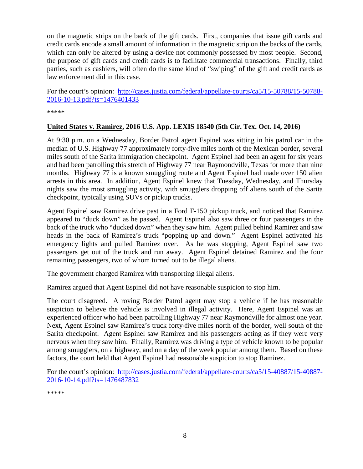on the magnetic strips on the back of the gift cards. First, companies that issue gift cards and credit cards encode a small amount of information in the magnetic strip on the backs of the cards, which can only be altered by using a device not commonly possessed by most people. Second, the purpose of gift cards and credit cards is to facilitate commercial transactions. Finally, third parties, such as cashiers, will often do the same kind of "swiping" of the gift and credit cards as law enforcement did in this case.

For the court's opinion: [http://cases.justia.com/federal/appellate-courts/ca5/15-50788/15-50788-](http://cases.justia.com/federal/appellate-courts/ca5/15-50788/15-50788-2016-10-13.pdf?ts=1476401433) [2016-10-13.pdf?ts=1476401433](http://cases.justia.com/federal/appellate-courts/ca5/15-50788/15-50788-2016-10-13.pdf?ts=1476401433)

\*\*\*\*\*

#### <span id="page-7-0"></span>**United States v. Ramirez, 2016 U.S. App. LEXIS 18540 (5th Cir. Tex. Oct. 14, 2016)**

At 9:30 p.m. on a Wednesday, Border Patrol agent Espinel was sitting in his patrol car in the median of U.S. Highway 77 approximately forty-five miles north of the Mexican border, several miles south of the Sarita immigration checkpoint. Agent Espinel had been an agent for six years and had been patrolling this stretch of Highway 77 near Raymondville, Texas for more than nine months. Highway 77 is a known smuggling route and Agent Espinel had made over 150 alien arrests in this area. In addition, Agent Espinel knew that Tuesday, Wednesday, and Thursday nights saw the most smuggling activity, with smugglers dropping off aliens south of the Sarita checkpoint, typically using SUVs or pickup trucks.

Agent Espinel saw Ramirez drive past in a Ford F-150 pickup truck, and noticed that Ramirez appeared to "duck down" as he passed. Agent Espinel also saw three or four passengers in the back of the truck who "ducked down" when they saw him. Agent pulled behind Ramirez and saw heads in the back of Ramirez's truck "popping up and down." Agent Espinel activated his emergency lights and pulled Ramirez over. As he was stopping, Agent Espinel saw two passengers get out of the truck and run away. Agent Espinel detained Ramirez and the four remaining passengers, two of whom turned out to be illegal aliens.

The government charged Ramirez with transporting illegal aliens.

Ramirez argued that Agent Espinel did not have reasonable suspicion to stop him.

The court disagreed. A roving Border Patrol agent may stop a vehicle if he has reasonable suspicion to believe the vehicle is involved in illegal activity. Here, Agent Espinel was an experienced officer who had been patrolling Highway 77 near Raymondville for almost one year. Next, Agent Espinel saw Ramirez's truck forty-five miles north of the border, well south of the Sarita checkpoint. Agent Espinel saw Ramirez and his passengers acting as if they were very nervous when they saw him. Finally, Ramirez was driving a type of vehicle known to be popular among smugglers, on a highway, and on a day of the week popular among them. Based on these factors, the court held that Agent Espinel had reasonable suspicion to stop Ramirez.

For the court's opinion: [http://cases.justia.com/federal/appellate-courts/ca5/15-40887/15-40887-](http://cases.justia.com/federal/appellate-courts/ca5/15-40887/15-40887-2016-10-14.pdf?ts=1476487832) [2016-10-14.pdf?ts=1476487832](http://cases.justia.com/federal/appellate-courts/ca5/15-40887/15-40887-2016-10-14.pdf?ts=1476487832)

\*\*\*\*\*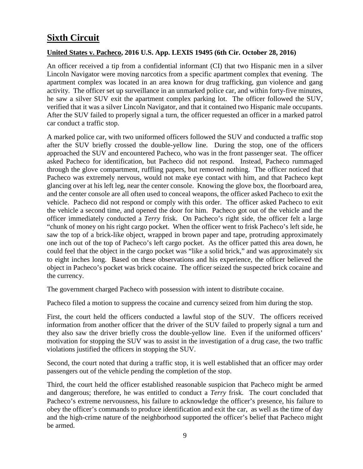# <span id="page-8-0"></span>**Sixth Circuit**

# <span id="page-8-1"></span>**United States v. Pacheco, 2016 U.S. App. LEXIS 19495 (6th Cir. October 28, 2016)**

An officer received a tip from a confidential informant (CI) that two Hispanic men in a silver Lincoln Navigator were moving narcotics from a specific apartment complex that evening. The apartment complex was located in an area known for drug trafficking, gun violence and gang activity. The officer set up surveillance in an unmarked police car, and within forty-five minutes, he saw a silver SUV exit the apartment complex parking lot. The officer followed the SUV, verified that it was a silver Lincoln Navigator, and that it contained two Hispanic male occupants. After the SUV failed to properly signal a turn, the officer requested an officer in a marked patrol car conduct a traffic stop.

A marked police car, with two uniformed officers followed the SUV and conducted a traffic stop after the SUV briefly crossed the double-yellow line. During the stop, one of the officers approached the SUV and encountered Pacheco, who was in the front passenger seat. The officer asked Pacheco for identification, but Pacheco did not respond. Instead, Pacheco rummaged through the glove compartment, ruffling papers, but removed nothing. The officer noticed that Pacheco was extremely nervous, would not make eye contact with him, and that Pacheco kept glancing over at his left leg, near the center console. Knowing the glove box, the floorboard area, and the center console are all often used to conceal weapons, the officer asked Pacheco to exit the vehicle. Pacheco did not respond or comply with this order. The officer asked Pacheco to exit the vehicle a second time, and opened the door for him. Pacheco got out of the vehicle and the officer immediately conducted a *Terry* frisk. On Pacheco's right side, the officer felt a large "chunk of money on his right cargo pocket. When the officer went to frisk Pacheco's left side, he saw the top of a brick-like object, wrapped in brown paper and tape, protruding approximately one inch out of the top of Pacheco's left cargo pocket. As the officer patted this area down, he could feel that the object in the cargo pocket was "like a solid brick," and was approximately six to eight inches long. Based on these observations and his experience, the officer believed the object in Pacheco's pocket was brick cocaine. The officer seized the suspected brick cocaine and the currency.

The government charged Pacheco with possession with intent to distribute cocaine.

Pacheco filed a motion to suppress the cocaine and currency seized from him during the stop.

First, the court held the officers conducted a lawful stop of the SUV. The officers received information from another officer that the driver of the SUV failed to properly signal a turn and they also saw the driver briefly cross the double-yellow line. Even if the uniformed officers' motivation for stopping the SUV was to assist in the investigation of a drug case, the two traffic violations justified the officers in stopping the SUV.

Second, the court noted that during a traffic stop, it is well established that an officer may order passengers out of the vehicle pending the completion of the stop.

Third, the court held the officer established reasonable suspicion that Pacheco might be armed and dangerous; therefore, he was entitled to conduct a *Terry* frisk. The court concluded that Pacheco's extreme nervousness, his failure to acknowledge the officer's presence, his failure to obey the officer's commands to produce identification and exit the car, as well as the time of day and the high-crime nature of the neighborhood supported the officer's belief that Pacheco might be armed.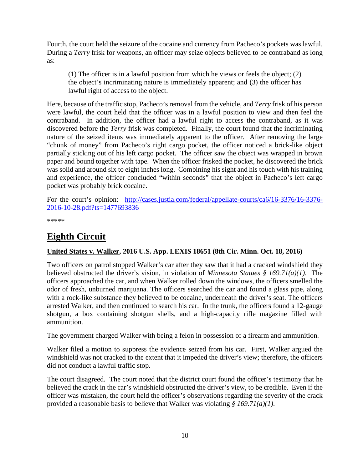Fourth, the court held the seizure of the cocaine and currency from Pacheco's pockets was lawful. During a *Terry* frisk for weapons, an officer may seize objects believed to be contraband as long as:

(1) The officer is in a lawful position from which he views or feels the object; (2) the object's incriminating nature is immediately apparent; and (3) the officer has lawful right of access to the object.

Here, because of the traffic stop, Pacheco's removal from the vehicle, and *Terry* frisk of his person were lawful, the court held that the officer was in a lawful position to view and then feel the contraband. In addition, the officer had a lawful right to access the contraband, as it was discovered before the *Terry* frisk was completed. Finally, the court found that the incriminating nature of the seized items was immediately apparent to the officer. After removing the large "chunk of money" from Pacheco's right cargo pocket, the officer noticed a brick-like object partially sticking out of his left cargo pocket. The officer saw the object was wrapped in brown paper and bound together with tape. When the officer frisked the pocket, he discovered the brick was solid and around six to eight inches long. Combining his sight and his touch with his training and experience, the officer concluded "within seconds" that the object in Pacheco's left cargo pocket was probably brick cocaine.

For the court's opinion: [http://cases.justia.com/federal/appellate-courts/ca6/16-3376/16-3376-](http://cases.justia.com/federal/appellate-courts/ca6/16-3376/16-3376-2016-10-28.pdf?ts=1477693836) [2016-10-28.pdf?ts=1477693836](http://cases.justia.com/federal/appellate-courts/ca6/16-3376/16-3376-2016-10-28.pdf?ts=1477693836)

\*\*\*\*\*

# <span id="page-9-0"></span>**Eighth Circuit**

## <span id="page-9-1"></span>**United States v. Walker, 2016 U.S. App. LEXIS 18651 (8th Cir. Minn. Oct. 18, 2016)**

Two officers on patrol stopped Walker's car after they saw that it had a cracked windshield they believed obstructed the driver's vision, in violation of *Minnesota Statues § 169.71(a)(1)*. The officers approached the car, and when Walker rolled down the windows, the officers smelled the odor of fresh, unburned marijuana. The officers searched the car and found a glass pipe, along with a rock-like substance they believed to be cocaine, underneath the driver's seat. The officers arrested Walker, and then continued to search his car. In the trunk, the officers found a 12-gauge shotgun, a box containing shotgun shells, and a high-capacity rifle magazine filled with ammunition.

The government charged Walker with being a felon in possession of a firearm and ammunition.

Walker filed a motion to suppress the evidence seized from his car. First, Walker argued the windshield was not cracked to the extent that it impeded the driver's view; therefore, the officers did not conduct a lawful traffic stop.

The court disagreed. The court noted that the district court found the officer's testimony that he believed the crack in the car's windshield obstructed the driver's view, to be credible. Even if the officer was mistaken, the court held the officer's observations regarding the severity of the crack provided a reasonable basis to believe that Walker was violating *§ 169.71(a)(1)*.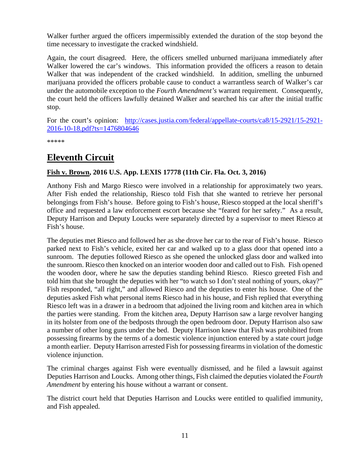Walker further argued the officers impermissibly extended the duration of the stop beyond the time necessary to investigate the cracked windshield.

Again, the court disagreed. Here, the officers smelled unburned marijuana immediately after Walker lowered the car's windows. This information provided the officers a reason to detain Walker that was independent of the cracked windshield. In addition, smelling the unburned marijuana provided the officers probable cause to conduct a warrantless search of Walker's car under the automobile exception to the *Fourth Amendment's* warrant requirement. Consequently, the court held the officers lawfully detained Walker and searched his car after the initial traffic stop.

For the court's opinion: [http://cases.justia.com/federal/appellate-courts/ca8/15-2921/15-2921-](http://cases.justia.com/federal/appellate-courts/ca8/15-2921/15-2921-2016-10-18.pdf?ts=1476804646) [2016-10-18.pdf?ts=1476804646](http://cases.justia.com/federal/appellate-courts/ca8/15-2921/15-2921-2016-10-18.pdf?ts=1476804646)

\*\*\*\*\*

# <span id="page-10-0"></span>**Eleventh Circuit**

# <span id="page-10-1"></span>**Fish v. Brown, 2016 U.S. App. LEXIS 17778 (11th Cir. Fla. Oct. 3, 2016)**

Anthony Fish and Margo Riesco were involved in a relationship for approximately two years. After Fish ended the relationship, Riesco told Fish that she wanted to retrieve her personal belongings from Fish's house. Before going to Fish's house, Riesco stopped at the local sheriff's office and requested a law enforcement escort because she "feared for her safety." As a result, Deputy Harrison and Deputy Loucks were separately directed by a supervisor to meet Riesco at Fish's house.

The deputies met Riesco and followed her as she drove her car to the rear of Fish's house. Riesco parked next to Fish's vehicle, exited her car and walked up to a glass door that opened into a sunroom. The deputies followed Riesco as she opened the unlocked glass door and walked into the sunroom. Riesco then knocked on an interior wooden door and called out to Fish. Fish opened the wooden door, where he saw the deputies standing behind Riesco. Riesco greeted Fish and told him that she brought the deputies with her "to watch so I don't steal nothing of yours, okay?" Fish responded, "all right," and allowed Riesco and the deputies to enter his house. One of the deputies asked Fish what personal items Riesco had in his house, and Fish replied that everything Riesco left was in a drawer in a bedroom that adjoined the living room and kitchen area in which the parties were standing. From the kitchen area, Deputy Harrison saw a large revolver hanging in its holster from one of the bedposts through the open bedroom door. Deputy Harrison also saw a number of other long guns under the bed. Deputy Harrison knew that Fish was prohibited from possessing firearms by the terms of a domestic violence injunction entered by a state court judge a month earlier. Deputy Harrison arrested Fish for possessing firearms in violation of the domestic violence injunction.

The criminal charges against Fish were eventually dismissed, and he filed a lawsuit against Deputies Harrison and Loucks. Among other things, Fish claimed the deputies violated the *Fourth Amendment* by entering his house without a warrant or consent.

The district court held that Deputies Harrison and Loucks were entitled to qualified immunity, and Fish appealed.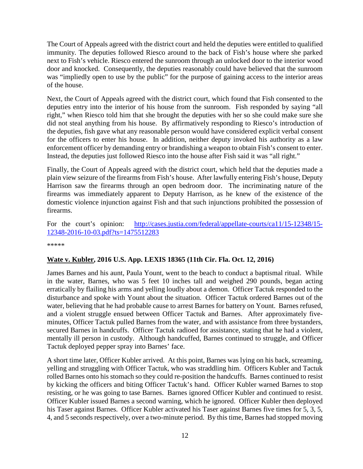The Court of Appeals agreed with the district court and held the deputies were entitled to qualified immunity. The deputies followed Riesco around to the back of Fish's house where she parked next to Fish's vehicle. Riesco entered the sunroom through an unlocked door to the interior wood door and knocked. Consequently, the deputies reasonably could have believed that the sunroom was "impliedly open to use by the public" for the purpose of gaining access to the interior areas of the house.

Next, the Court of Appeals agreed with the district court, which found that Fish consented to the deputies entry into the interior of his house from the sunroom. Fish responded by saying "all right," when Riesco told him that she brought the deputies with her so she could make sure she did not steal anything from his house. By affirmatively responding to Riesco's introduction of the deputies, fish gave what any reasonable person would have considered explicit verbal consent for the officers to enter his house. In addition, neither deputy invoked his authority as a law enforcement officer by demanding entry or brandishing a weapon to obtain Fish's consent to enter. Instead, the deputies just followed Riesco into the house after Fish said it was "all right."

Finally, the Court of Appeals agreed with the district court, which held that the deputies made a plain view seizure of the firearms from Fish's house. After lawfully entering Fish's house, Deputy Harrison saw the firearms through an open bedroom door. The incriminating nature of the firearms was immediately apparent to Deputy Harrison, as he knew of the existence of the domestic violence injunction against Fish and that such injunctions prohibited the possession of firearms.

For the court's opinion: [http://cases.justia.com/federal/appellate-courts/ca11/15-12348/15-](http://cases.justia.com/federal/appellate-courts/ca11/15-12348/15-12348-2016-10-03.pdf?ts=1475512283) [12348-2016-10-03.pdf?ts=1475512283](http://cases.justia.com/federal/appellate-courts/ca11/15-12348/15-12348-2016-10-03.pdf?ts=1475512283)

\*\*\*\*\*

#### <span id="page-11-0"></span>**Wate v. Kubler, 2016 U.S. App. LEXIS 18365 (11th Cir. Fla. Oct. 12, 2016)**

James Barnes and his aunt, Paula Yount, went to the beach to conduct a baptismal ritual. While in the water, Barnes, who was 5 feet 10 inches tall and weighed 290 pounds, began acting erratically by flailing his arms and yelling loudly about a demon. Officer Tactuk responded to the disturbance and spoke with Yount about the situation. Officer Tactuk ordered Barnes out of the water, believing that he had probable cause to arrest Barnes for battery on Yount. Barnes refused, and a violent struggle ensued between Officer Tactuk and Barnes. After approximately fiveminutes, Officer Tactuk pulled Barnes from the water, and with assistance from three bystanders, secured Barnes in handcuffs. Officer Tactuk radioed for assistance, stating that he had a violent, mentally ill person in custody. Although handcuffed, Barnes continued to struggle, and Officer Tactuk deployed pepper spray into Barnes' face.

A short time later, Officer Kubler arrived. At this point, Barnes was lying on his back, screaming, yelling and struggling with Officer Tactuk, who was straddling him. Officers Kubler and Tactuk rolled Barnes onto his stomach so they could re-position the handcuffs. Barnes continued to resist by kicking the officers and biting Officer Tactuk's hand. Officer Kubler warned Barnes to stop resisting, or he was going to tase Barnes. Barnes ignored Officer Kubler and continued to resist. Officer Kubler issued Barnes a second warning, which he ignored. Officer Kubler then deployed his Taser against Barnes. Officer Kubler activated his Taser against Barnes five times for 5, 3, 5, 4, and 5 seconds respectively, over a two-minute period. By this time, Barnes had stopped moving